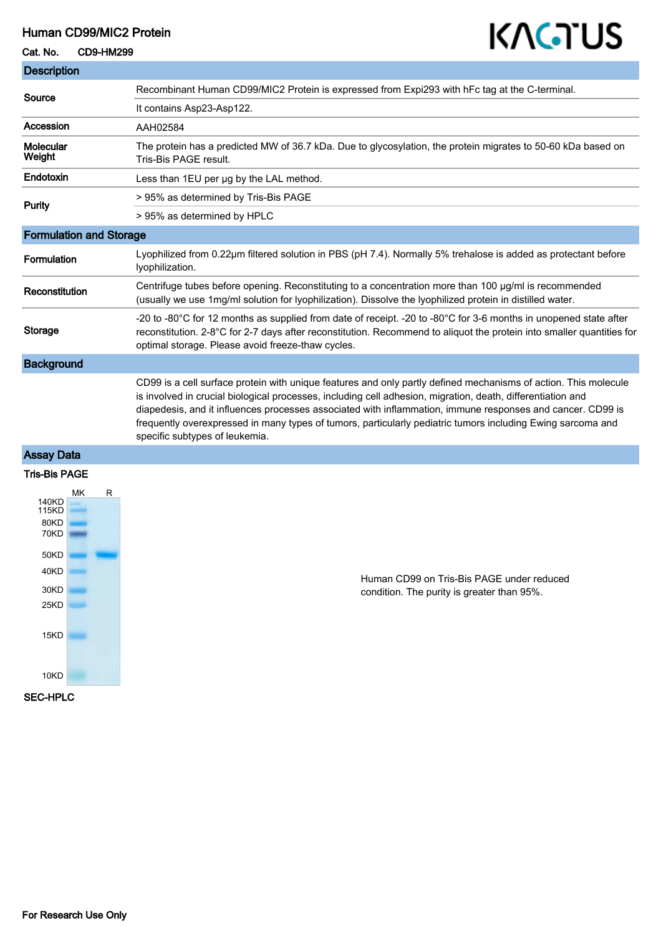## Human CD99/MIC2 Protein

### Cat. No. CD9-HM299

T.

# KAGTUS

| Recombinant Human CD99/MIC2 Protein is expressed from Expi293 with hFc tag at the C-terminal.                                                                                                                                                                                                                                                                                                                                                                                                 |
|-----------------------------------------------------------------------------------------------------------------------------------------------------------------------------------------------------------------------------------------------------------------------------------------------------------------------------------------------------------------------------------------------------------------------------------------------------------------------------------------------|
| It contains Asp23-Asp122.                                                                                                                                                                                                                                                                                                                                                                                                                                                                     |
| AAH02584                                                                                                                                                                                                                                                                                                                                                                                                                                                                                      |
| The protein has a predicted MW of 36.7 kDa. Due to glycosylation, the protein migrates to 50-60 kDa based on<br>Tris-Bis PAGE result.                                                                                                                                                                                                                                                                                                                                                         |
| Less than 1EU per ug by the LAL method.                                                                                                                                                                                                                                                                                                                                                                                                                                                       |
| > 95% as determined by Tris-Bis PAGE                                                                                                                                                                                                                                                                                                                                                                                                                                                          |
| > 95% as determined by HPLC                                                                                                                                                                                                                                                                                                                                                                                                                                                                   |
| <b>Formulation and Storage</b>                                                                                                                                                                                                                                                                                                                                                                                                                                                                |
| Lyophilized from 0.22µm filtered solution in PBS (pH 7.4). Normally 5% trehalose is added as protectant before<br>lyophilization.                                                                                                                                                                                                                                                                                                                                                             |
| Centrifuge tubes before opening. Reconstituting to a concentration more than 100 µg/ml is recommended<br>(usually we use 1mg/ml solution for lyophilization). Dissolve the lyophilized protein in distilled water.                                                                                                                                                                                                                                                                            |
| -20 to -80°C for 12 months as supplied from date of receipt. -20 to -80°C for 3-6 months in unopened state after<br>reconstitution. 2-8°C for 2-7 days after reconstitution. Recommend to aliquot the protein into smaller quantities for<br>optimal storage. Please avoid freeze-thaw cycles.                                                                                                                                                                                                |
|                                                                                                                                                                                                                                                                                                                                                                                                                                                                                               |
| CD99 is a cell surface protein with unique features and only partly defined mechanisms of action. This molecule<br>is involved in crucial biological processes, including cell adhesion, migration, death, differentiation and<br>diapedesis, and it influences processes associated with inflammation, immune responses and cancer. CD99 is<br>frequently overexpressed in many types of tumors, particularly pediatric tumors including Ewing sarcoma and<br>specific subtypes of leukemia. |
|                                                                                                                                                                                                                                                                                                                                                                                                                                                                                               |

#### Assay Data

#### Tris-Bis PAGE



Human CD99 on Tris-Bis PAGE under reduced condition. The purity is greater than 95%.

SEC-HPLC